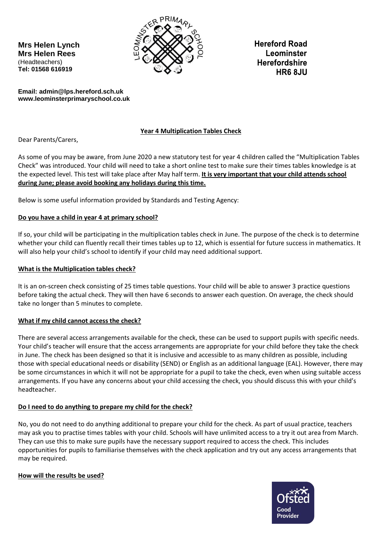**Mrs Helen Lynch Mrs Helen Rees** (Headteachers) **Tel: 01568 616919** 



**Hereford Road** Leominster **Herefordshire HR6 8JU** 

**Email: admin@lps.hereford.sch.uk www.leominsterprimaryschool.co.uk**

# **Year 4 Multiplication Tables Check**

Dear Parents/Carers,

As some of you may be aware, from June 2020 a new statutory test for year 4 children called the "Multiplication Tables Check" was introduced. Your child will need to take a short online test to make sure their times tables knowledge is at the expected level. This test will take place after May half term. **It is very important that your child attends school during June; please avoid booking any holidays during this time.**

Below is some useful information provided by Standards and Testing Agency:

# **Do you have a child in year 4 at primary school?**

If so, your child will be participating in the multiplication tables check in June. The purpose of the check is to determine whether your child can fluently recall their times tables up to 12, which is essential for future success in mathematics. It will also help your child's school to identify if your child may need additional support.

# **What is the Multiplication tables check?**

It is an on-screen check consisting of 25 times table questions. Your child will be able to answer 3 practice questions before taking the actual check. They will then have 6 seconds to answer each question. On average, the check should take no longer than 5 minutes to complete.

# **What if my child cannot access the check?**

There are several access arrangements available for the check, these can be used to support pupils with specific needs. Your child's teacher will ensure that the access arrangements are appropriate for your child before they take the check in June. The check has been designed so that it is inclusive and accessible to as many children as possible, including those with special educational needs or disability (SEND) or English as an additional language (EAL). However, there may be some circumstances in which it will not be appropriate for a pupil to take the check, even when using suitable access arrangements. If you have any concerns about your child accessing the check, you should discuss this with your child's headteacher.

# **Do I need to do anything to prepare my child for the check?**

No, you do not need to do anything additional to prepare your child for the check. As part of usual practice, teachers may ask you to practise times tables with your child. Schools will have unlimited access to a try it out area from March. They can use this to make sure pupils have the necessary support required to access the check. This includes opportunities for pupils to familiarise themselves with the check application and try out any access arrangements that may be required.

# **How will the results be used?**